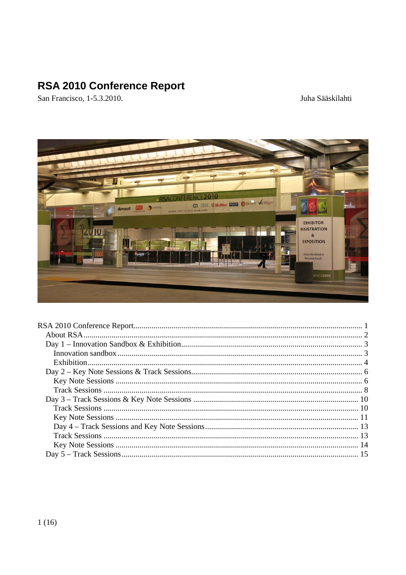# RSA 2010 Conference Report

San Francisco, 1-5.3.2010.

Juha Sääskilahti

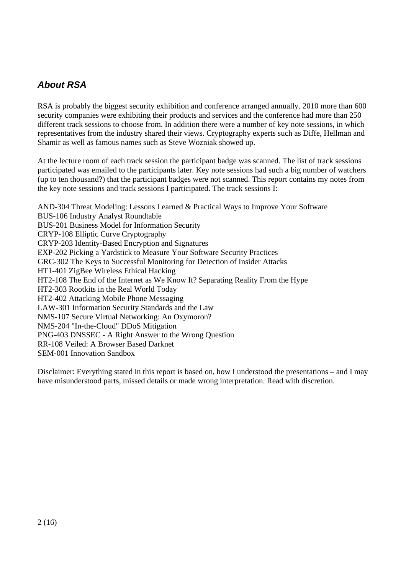# *About RSA*

RSA is probably the biggest security exhibition and conference arranged annually. 2010 more than 600 security companies were exhibiting their products and services and the conference had more than 250 different track sessions to choose from. In addition there were a number of key note sessions, in which representatives from the industry shared their views. Cryptography experts such as Diffe, Hellman and Shamir as well as famous names such as Steve Wozniak showed up.

At the lecture room of each track session the participant badge was scanned. The list of track sessions participated was emailed to the participants later. Key note sessions had such a big number of watchers (up to ten thousand?) that the participant badges were not scanned. This report contains my notes from the key note sessions and track sessions I participated. The track sessions I:

AND-304 Threat Modeling: Lessons Learned & Practical Ways to Improve Your Software BUS-106 Industry Analyst Roundtable BUS-201 Business Model for Information Security CRYP-108 Elliptic Curve Cryptography CRYP-203 Identity-Based Encryption and Signatures EXP-202 Picking a Yardstick to Measure Your Software Security Practices GRC-302 The Keys to Successful Monitoring for Detection of Insider Attacks HT1-401 ZigBee Wireless Ethical Hacking HT2-108 The End of the Internet as We Know It? Separating Reality From the Hype HT2-303 Rootkits in the Real World Today HT2-402 Attacking Mobile Phone Messaging LAW-301 Information Security Standards and the Law NMS-107 Secure Virtual Networking: An Oxymoron? NMS-204 "In-the-Cloud" DDoS Mitigation PNG-403 DNSSEC - A Right Answer to the Wrong Question RR-108 Veiled: A Browser Based Darknet SEM-001 Innovation Sandbox

Disclaimer: Everything stated in this report is based on, how I understood the presentations – and I may have misunderstood parts, missed details or made wrong interpretation. Read with discretion.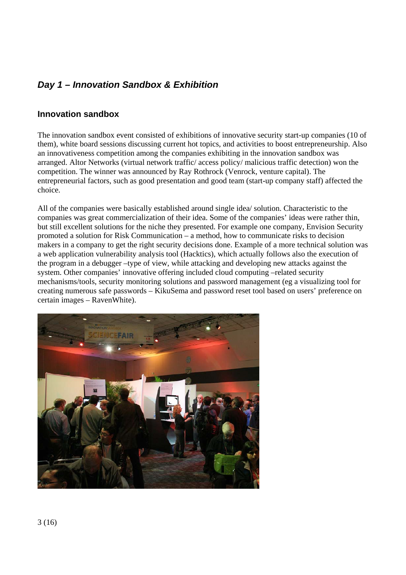# *Day 1 – Innovation Sandbox & Exhibition*

#### **Innovation sandbox**

The innovation sandbox event consisted of exhibitions of innovative security start-up companies (10 of them), white board sessions discussing current hot topics, and activities to boost entrepreneurship. Also an innovativeness competition among the companies exhibiting in the innovation sandbox was arranged. Altor Networks (virtual network traffic/ access policy/ malicious traffic detection) won the competition. The winner was announced by Ray Rothrock (Venrock, venture capital). The entrepreneurial factors, such as good presentation and good team (start-up company staff) affected the choice.

All of the companies were basically established around single idea/ solution. Characteristic to the companies was great commercialization of their idea. Some of the companies' ideas were rather thin, but still excellent solutions for the niche they presented. For example one company, Envision Security promoted a solution for Risk Communication – a method, how to communicate risks to decision makers in a company to get the right security decisions done. Example of a more technical solution was a web application vulnerability analysis tool (Hacktics), which actually follows also the execution of the program in a debugger –type of view, while attacking and developing new attacks against the system. Other companies' innovative offering included cloud computing –related security mechanisms/tools, security monitoring solutions and password management (eg a visualizing tool for creating numerous safe passwords – KikuSema and password reset tool based on users' preference on certain images – RavenWhite).

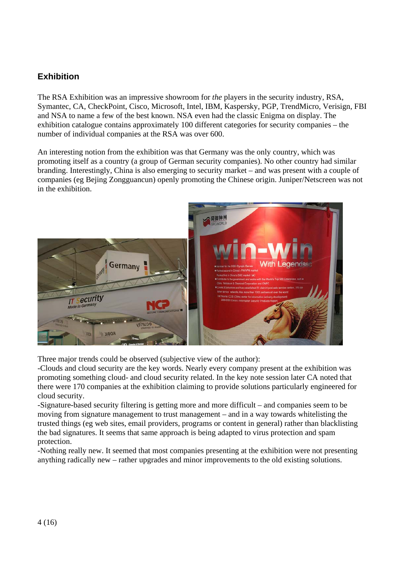### **Exhibition**

The RSA Exhibition was an impressive showroom for *the* players in the security industry, RSA, Symantec, CA, CheckPoint, Cisco, Microsoft, Intel, IBM, Kaspersky, PGP, TrendMicro, Verisign, FBI and NSA to name a few of the best known. NSA even had the classic Enigma on display. The exhibition catalogue contains approximately 100 different categories for security companies – the number of individual companies at the RSA was over 600.

An interesting notion from the exhibition was that Germany was the only country, which was promoting itself as a country (a group of German security companies). No other country had similar branding. Interestingly, China is also emerging to security market – and was present with a couple of companies (eg Bejing Zongguancun) openly promoting the Chinese origin. Juniper/Netscreen was not in the exhibition.



Three major trends could be observed (subjective view of the author):

-Clouds and cloud security are the key words. Nearly every company present at the exhibition was promoting something cloud- and cloud security related. In the key note session later CA noted that there were 170 companies at the exhibition claiming to provide solutions particularly engineered for cloud security.

-Signature-based security filtering is getting more and more difficult – and companies seem to be moving from signature management to trust management – and in a way towards whitelisting the trusted things (eg web sites, email providers, programs or content in general) rather than blacklisting the bad signatures. It seems that same approach is being adapted to virus protection and spam protection.

-Nothing really new. It seemed that most companies presenting at the exhibition were not presenting anything radically new – rather upgrades and minor improvements to the old existing solutions.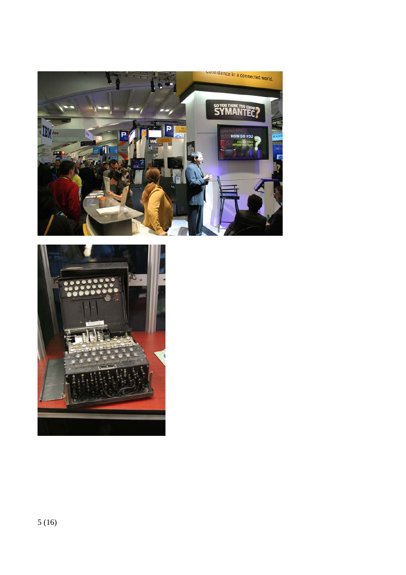

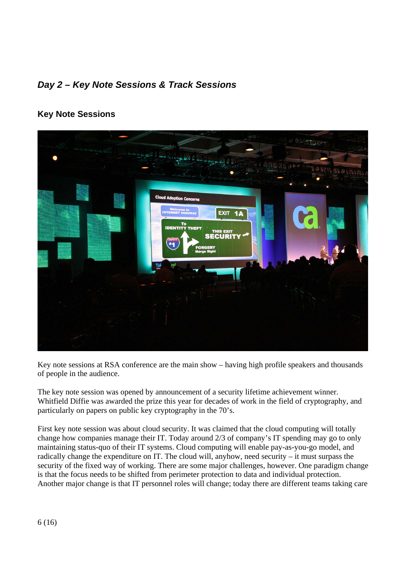# *Day 2 – Key Note Sessions & Track Sessions*

| <b>Cloud Adoption Concerns</b><br><b>Welcome to<br/>INTERNET HIGHWAY</b><br>EXIT 1A<br>To<br>IDENTITY THEFT | <b>Ca</b> |
|-------------------------------------------------------------------------------------------------------------|-----------|
| <b>SECURITY</b><br>SAFETY<br><b>FORGERY</b><br>Merge Right                                                  |           |
| rol<br>Tak<br>w                                                                                             | ٦         |
|                                                                                                             |           |
|                                                                                                             |           |

#### **Key Note Sessions**

Key note sessions at RSA conference are the main show – having high profile speakers and thousands of people in the audience.

The key note session was opened by announcement of a security lifetime achievement winner. Whitfield Diffie was awarded the prize this year for decades of work in the field of cryptography, and particularly on papers on public key cryptography in the 70's.

First key note session was about cloud security. It was claimed that the cloud computing will totally change how companies manage their IT. Today around 2/3 of company's IT spending may go to only maintaining status-quo of their IT systems. Cloud computing will enable pay-as-you-go model, and radically change the expenditure on IT. The cloud will, anyhow, need security – it must surpass the security of the fixed way of working. There are some major challenges, however. One paradigm change is that the focus needs to be shifted from perimeter protection to data and individual protection. Another major change is that IT personnel roles will change; today there are different teams taking care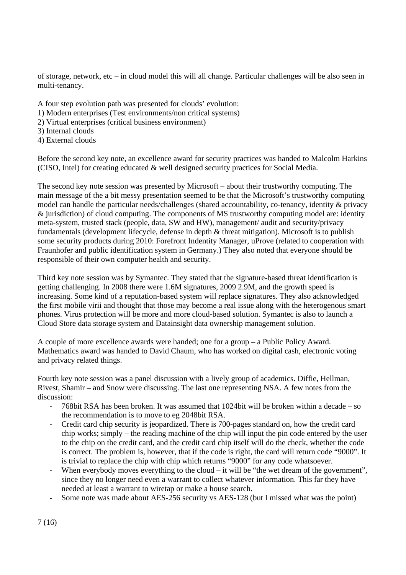of storage, network, etc – in cloud model this will all change. Particular challenges will be also seen in multi-tenancy.

- A four step evolution path was presented for clouds' evolution:
- 1) Modern enterprises (Test environments/non critical systems)
- 2) Virtual enterprises (critical business environment)
- 3) Internal clouds
- 4) External clouds

Before the second key note, an excellence award for security practices was handed to Malcolm Harkins (CISO, Intel) for creating educated & well designed security practices for Social Media.

The second key note session was presented by Microsoft – about their trustworthy computing. The main message of the a bit messy presentation seemed to be that the Microsoft's trustworthy computing model can handle the particular needs/challenges (shared accountability, co-tenancy, identity & privacy & jurisdiction) of cloud computing. The components of MS trustworthy computing model are: identity meta-system, trusted stack (people, data, SW and HW), management/ audit and security/privacy fundamentals (development lifecycle, defense in depth & threat mitigation). Microsoft is to publish some security products during 2010: Forefront Indentity Manager, uProve (related to cooperation with Fraunhofer and public identification system in Germany.) They also noted that everyone should be responsible of their own computer health and security.

Third key note session was by Symantec. They stated that the signature-based threat identification is getting challenging. In 2008 there were 1.6M signatures, 2009 2.9M, and the growth speed is increasing. Some kind of a reputation-based system will replace signatures. They also acknowledged the first mobile virii and thought that those may become a real issue along with the heterogenous smart phones. Virus protection will be more and more cloud-based solution. Symantec is also to launch a Cloud Store data storage system and Datainsight data ownership management solution.

A couple of more excellence awards were handed; one for a group – a Public Policy Award. Mathematics award was handed to David Chaum, who has worked on digital cash, electronic voting and privacy related things.

Fourth key note session was a panel discussion with a lively group of academics. Diffie, Hellman, Rivest, Shamir – and Snow were discussing. The last one representing NSA. A few notes from the discussion:

- 768bit RSA has been broken. It was assumed that 1024bit will be broken within a decade so the recommendation is to move to eg 2048bit RSA.
- Credit card chip security is jeopardized. There is 700-pages standard on, how the credit card chip works; simply – the reading machine of the chip will input the pin code entered by the user to the chip on the credit card, and the credit card chip itself will do the check, whether the code is correct. The problem is, however, that if the code is right, the card will return code "9000". It is trivial to replace the chip with chip which returns "9000" for any code whatsoever.
- When everybody moves everything to the cloud  $-$  it will be "the wet dream of the government", since they no longer need even a warrant to collect whatever information. This far they have needed at least a warrant to wiretap or make a house search.
- Some note was made about AES-256 security vs AES-128 (but I missed what was the point)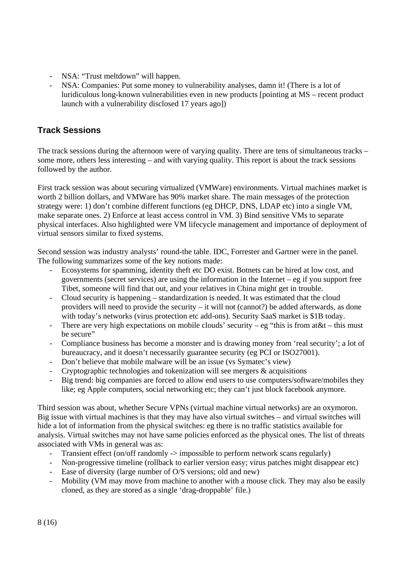- NSA: "Trust meltdown" will happen.
- NSA: Companies: Put some money to vulnerability analyses, damn it! (There is a lot of luridiculous long-known vulnerabilities even in new products [pointing at MS – recent product launch with a vulnerability disclosed 17 years ago])

### **Track Sessions**

The track sessions during the afternoon were of varying quality. There are tens of simultaneous tracks – some more, others less interesting – and with varying quality. This report is about the track sessions followed by the author.

First track session was about securing virtualized (VMWare) environments. Virtual machines market is worth 2 billion dollars, and VMWare has 90% market share. The main messages of the protection strategy were: 1) don't combine different functions (eg DHCP, DNS, LDAP etc) into a single VM, make separate ones. 2) Enforce at least access control in VM. 3) Bind sensitive VMs to separate physical interfaces. Also highlighted were VM lifecycle management and importance of deployment of virtual sensors similar to fixed systems.

Second session was industry analysts' round-the table. IDC, Forrester and Gartner were in the panel. The following summarizes some of the key notions made:

- Ecosystems for spamming, identity theft etc DO exist. Botnets can be hired at low cost, and governments (secret services) are using the information in the Internet – eg if you support free Tibet, someone will find that out, and your relatives in China might get in trouble.
- Cloud security is happening standardization is needed. It was estimated that the cloud providers will need to provide the security – it will not (cannot?) be added afterwards, as done with today's networks (virus protection etc add-ons). Security SaaS market is \$1B today.
- There are very high expectations on mobile clouds' security eg "this is from at & t this must be secure"
- Compliance business has become a monster and is drawing money from 'real security'; a lot of bureaucracy, and it doesn't necessarily guarantee security (eg PCI or ISO27001).
- Don't believe that mobile malware will be an issue (vs Symatec's view)
- Cryptographic technologies and tokenization will see mergers & acquisitions
- Big trend: big companies are forced to allow end users to use computers/software/mobiles they like; eg Apple computers, social networking etc; they can't just block facebook anymore.

Third session was about, whether Secure VPNs (virtual machine virtual networks) are an oxymoron. Big issue with virtual machines is that they may have also virtual switches – and virtual switches will hide a lot of information from the physical switches: eg there is no traffic statistics available for analysis. Virtual switches may not have same policies enforced as the physical ones. The list of threats associated with VMs in general was as:

- Transient effect (on/off randomly -> impossible to perform network scans regularly)
- Non-progressive timeline (rollback to earlier version easy; virus patches might disappear etc)
- Ease of diversity (large number of O/S versions; old and new)
- Mobility (VM may move from machine to another with a mouse click. They may also be easily cloned, as they are stored as a single 'drag-droppable' file.)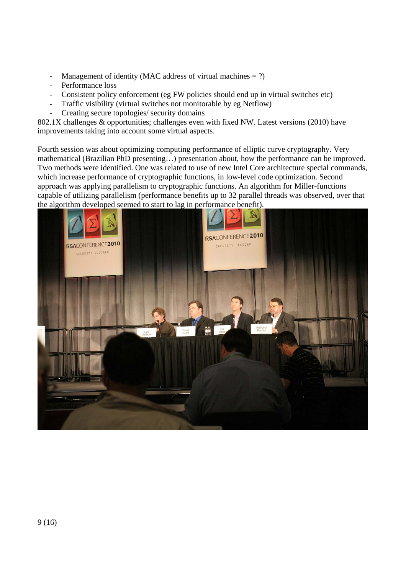- Management of identity (MAC address of virtual machines  $= ?$ )
- Performance loss
- Consistent policy enforcement (eg FW policies should end up in virtual switches etc)
- Traffic visibility (virtual switches not monitorable by eg Netflow)
- Creating secure topologies/ security domains

802.1X challenges & opportunities; challenges even with fixed NW. Latest versions (2010) have improvements taking into account some virtual aspects.

Fourth session was about optimizing computing performance of elliptic curve cryptography. Very mathematical (Brazilian PhD presenting…) presentation about, how the performance can be improved. Two methods were identified. One was related to use of new Intel Core architecture special commands, which increase performance of cryptographic functions, in low-level code optimization. Second approach was applying parallelism to cryptographic functions. An algorithm for Miller-functions capable of utilizing parallelism (performance benefits up to 32 parallel threads was observed, over that the algorithm developed seemed to start to lag in performance benefit).

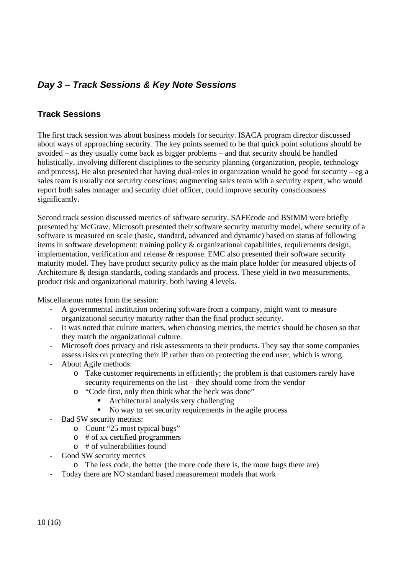# *Day 3 – Track Sessions & Key Note Sessions*

## **Track Sessions**

The first track session was about business models for security. ISACA program director discussed about ways of approaching security. The key points seemed to be that quick point solutions should be avoided – as they usually come back as bigger problems – and that security should be handled holistically, involving different disciplines to the security planning (organization, people, technology and process). He also presented that having dual-roles in organization would be good for security – eg a sales team is usually not security conscious; augmenting sales team with a security expert, who would report both sales manager and security chief officer, could improve security consciousness significantly.

Second track session discussed metrics of software security. SAFEcode and BSIMM were briefly presented by McGraw. Microsoft presented their software security maturity model, where security of a software is measured on scale (basic, standard, advanced and dynamic) based on status of following items in software development: training policy & organizational capabilities, requirements design, implementation, verification and release & response. EMC also presented their software security maturity model. They have product security policy as the main place holder for measured objects of Architecture & design standards, coding standards and process. These yield in two measurements, product risk and organizational maturity, both having 4 levels.

Miscellaneous notes from the session:

- A governmental institution ordering software from a company, might want to measure organizational security maturity rather than the final product security.
- It was noted that culture matters, when choosing metrics, the metrics should be chosen so that they match the organizational culture.
- Microsoft does privacy and risk assessments to their products. They say that some companies assess risks on protecting their IP rather than on protecting the end user, which is wrong.
- About Agile methods:
	- o Take customer requirements in efficiently; the problem is that customers rarely have security requirements on the list – they should come from the vendor
	- o "Code first, only then think what the heck was done"
		- Architectural analysis very challenging
		- No way to set security requirements in the agile process
- Bad SW security metrics:
	- o Count "25 most typical bugs"
	- o # of xx certified programmers
	- o # of vulnerabilities found
- Good SW security metrics
	- o The less code, the better (the more code there is, the more bugs there are)
- Today there are NO standard based measurement models that work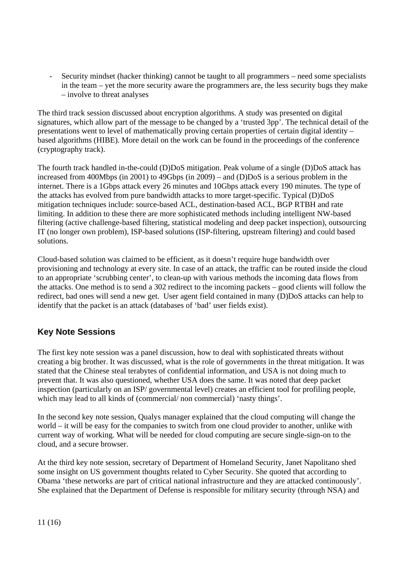- Security mindset (hacker thinking) cannot be taught to all programmers – need some specialists in the team – yet the more security aware the programmers are, the less security bugs they make – involve to threat analyses

The third track session discussed about encryption algorithms. A study was presented on digital signatures, which allow part of the message to be changed by a 'trusted 3pp'. The technical detail of the presentations went to level of mathematically proving certain properties of certain digital identity – based algorithms (HIBE). More detail on the work can be found in the proceedings of the conference (cryptography track).

The fourth track handled in-the-could (D)DoS mitigation. Peak volume of a single (D)DoS attack has increased from 400Mbps (in 2001) to 49Gbps (in 2009) – and (D)DoS is a serious problem in the internet. There is a 1Gbps attack every 26 minutes and 10Gbps attack every 190 minutes. The type of the attacks has evolved from pure bandwidth attacks to more target-specific. Typical (D)DoS mitigation techniques include: source-based ACL, destination-based ACL, BGP RTBH and rate limiting. In addition to these there are more sophisticated methods including intelligent NW-based filtering (active challenge-based filtering, statistical modeling and deep packet inspection), outsourcing IT (no longer own problem), ISP-based solutions (ISP-filtering, upstream filtering) and could based solutions.

Cloud-based solution was claimed to be efficient, as it doesn't require huge bandwidth over provisioning and technology at every site. In case of an attack, the traffic can be routed inside the cloud to an appropriate 'scrubbing center', to clean-up with various methods the incoming data flows from the attacks. One method is to send a 302 redirect to the incoming packets – good clients will follow the redirect, bad ones will send a new get. User agent field contained in many (D)DoS attacks can help to identify that the packet is an attack (databases of 'bad' user fields exist).

### **Key Note Sessions**

The first key note session was a panel discussion, how to deal with sophisticated threats without creating a big brother. It was discussed, what is the role of governments in the threat mitigation. It was stated that the Chinese steal terabytes of confidential information, and USA is not doing much to prevent that. It was also questioned, whether USA does the same. It was noted that deep packet inspection (particularly on an ISP/ governmental level) creates an efficient tool for profiling people, which may lead to all kinds of (commercial/ non commercial) 'nasty things'.

In the second key note session, Qualys manager explained that the cloud computing will change the world – it will be easy for the companies to switch from one cloud provider to another, unlike with current way of working. What will be needed for cloud computing are secure single-sign-on to the cloud, and a secure browser.

At the third key note session, secretary of Department of Homeland Security, Janet Napolitano shed some insight on US government thoughts related to Cyber Security. She quoted that according to Obama 'these networks are part of critical national infrastructure and they are attacked continuously'. She explained that the Department of Defense is responsible for military security (through NSA) and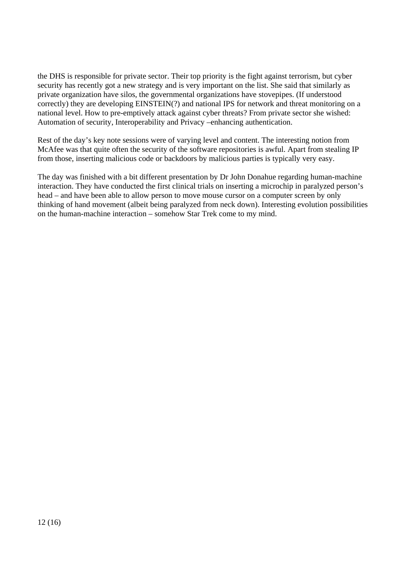the DHS is responsible for private sector. Their top priority is the fight against terrorism, but cyber security has recently got a new strategy and is very important on the list. She said that similarly as private organization have silos, the governmental organizations have stovepipes. (If understood correctly) they are developing EINSTEIN(?) and national IPS for network and threat monitoring on a national level. How to pre-emptively attack against cyber threats? From private sector she wished: Automation of security, Interoperability and Privacy –enhancing authentication.

Rest of the day's key note sessions were of varying level and content. The interesting notion from McAfee was that quite often the security of the software repositories is awful. Apart from stealing IP from those, inserting malicious code or backdoors by malicious parties is typically very easy.

The day was finished with a bit different presentation by Dr John Donahue regarding human-machine interaction. They have conducted the first clinical trials on inserting a microchip in paralyzed person's head – and have been able to allow person to move mouse cursor on a computer screen by only thinking of hand movement (albeit being paralyzed from neck down). Interesting evolution possibilities on the human-machine interaction – somehow Star Trek come to my mind.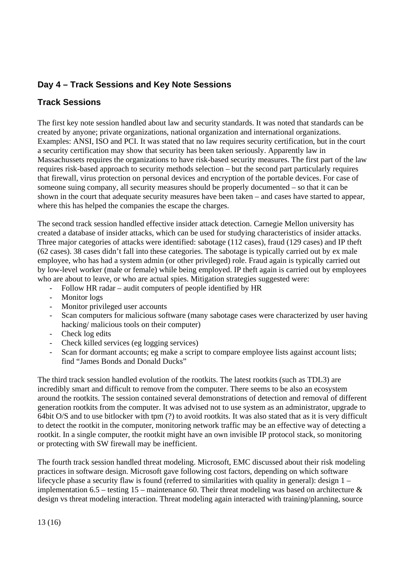### **Day 4 – Track Sessions and Key Note Sessions**

### **Track Sessions**

The first key note session handled about law and security standards. It was noted that standards can be created by anyone; private organizations, national organization and international organizations. Examples: ANSI, ISO and PCI. It was stated that no law requires security certification, but in the court a security certification may show that security has been taken seriously. Apparently law in Massachussets requires the organizations to have risk-based security measures. The first part of the law requires risk-based approach to security methods selection – but the second part particularly requires that firewall, virus protection on personal devices and encryption of the portable devices. For case of someone suing company, all security measures should be properly documented – so that it can be shown in the court that adequate security measures have been taken – and cases have started to appear, where this has helped the companies the escape the charges.

The second track session handled effective insider attack detection. Carnegie Mellon university has created a database of insider attacks, which can be used for studying characteristics of insider attacks. Three major categories of attacks were identified: sabotage (112 cases), fraud (129 cases) and IP theft (62 cases). 38 cases didn't fall into these categories. The sabotage is typically carried out by ex male employee, who has had a system admin (or other privileged) role. Fraud again is typically carried out by low-level worker (male or female) while being employed. IP theft again is carried out by employees who are about to leave, or who are actual spies. Mitigation strategies suggested were:

- Follow HR radar audit computers of people identified by HR
- Monitor logs
- Monitor privileged user accounts
- Scan computers for malicious software (many sabotage cases were characterized by user having hacking/ malicious tools on their computer)
- Check log edits
- Check killed services (eg logging services)
- Scan for dormant accounts; eg make a script to compare employee lists against account lists; find "James Bonds and Donald Ducks"

The third track session handled evolution of the rootkits. The latest rootkits (such as TDL3) are incredibly smart and difficult to remove from the computer. There seems to be also an ecosystem around the rootkits. The session contained several demonstrations of detection and removal of different generation rootkits from the computer. It was advised not to use system as an administrator, upgrade to 64bit O/S and to use bitlocker with tpm (?) to avoid rootkits. It was also stated that as it is very difficult to detect the rootkit in the computer, monitoring network traffic may be an effective way of detecting a rootkit. In a single computer, the rootkit might have an own invisible IP protocol stack, so monitoring or protecting with SW firewall may be inefficient.

The fourth track session handled threat modeling. Microsoft, EMC discussed about their risk modeling practices in software design. Microsoft gave following cost factors, depending on which software lifecycle phase a security flaw is found (referred to similarities with quality in general): design 1 – implementation 6.5 – testing 15 – maintenance 60. Their threat modeling was based on architecture  $\&$ design vs threat modeling interaction. Threat modeling again interacted with training/planning, source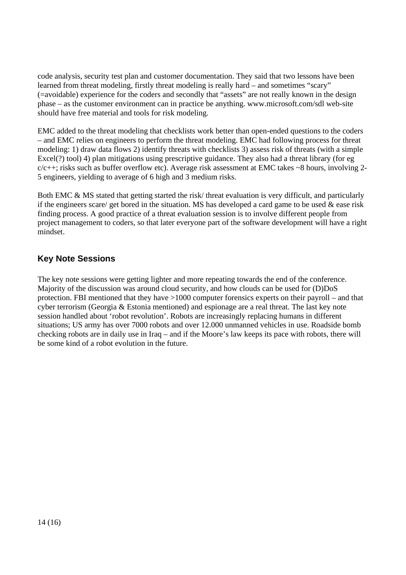code analysis, security test plan and customer documentation. They said that two lessons have been learned from threat modeling, firstly threat modeling is really hard – and sometimes "scary" (=avoidable) experience for the coders and secondly that "assets" are not really known in the design phase – as the customer environment can in practice be anything. www.microsoft.com/sdl web-site should have free material and tools for risk modeling.

EMC added to the threat modeling that checklists work better than open-ended questions to the coders – and EMC relies on engineers to perform the threat modeling. EMC had following process for threat modeling: 1) draw data flows 2) identify threats with checklists 3) assess risk of threats (with a simple Excel(?) tool) 4) plan mitigations using prescriptive guidance. They also had a threat library (for eg  $c/c++$ ; risks such as buffer overflow etc). Average risk assessment at EMC takes ~8 hours, involving 2-5 engineers, yielding to average of 6 high and 3 medium risks.

Both EMC & MS stated that getting started the risk/ threat evaluation is very difficult, and particularly if the engineers scare/ get bored in the situation. MS has developed a card game to be used  $\&$  ease risk finding process. A good practice of a threat evaluation session is to involve different people from project management to coders, so that later everyone part of the software development will have a right mindset.

#### **Key Note Sessions**

The key note sessions were getting lighter and more repeating towards the end of the conference. Majority of the discussion was around cloud security, and how clouds can be used for (D)DoS protection. FBI mentioned that they have >1000 computer forensics experts on their payroll – and that cyber terrorism (Georgia & Estonia mentioned) and espionage are a real threat. The last key note session handled about 'robot revolution'. Robots are increasingly replacing humans in different situations; US army has over 7000 robots and over 12.000 unmanned vehicles in use. Roadside bomb checking robots are in daily use in Iraq – and if the Moore's law keeps its pace with robots, there will be some kind of a robot evolution in the future.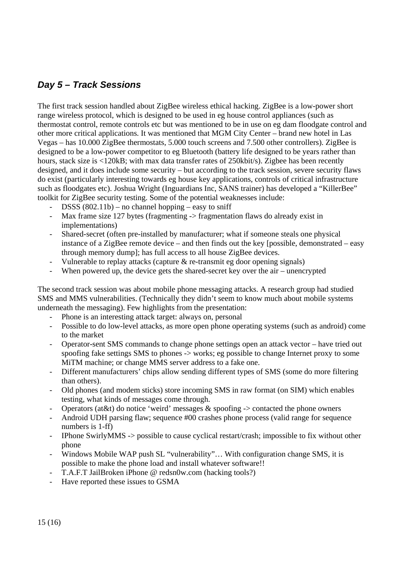### *Day 5 – Track Sessions*

The first track session handled about ZigBee wireless ethical hacking. ZigBee is a low-power short range wireless protocol, which is designed to be used in eg house control appliances (such as thermostat control, remote controls etc but was mentioned to be in use on eg dam floodgate control and other more critical applications. It was mentioned that MGM City Center – brand new hotel in Las Vegas – has 10.000 ZigBee thermostats, 5.000 touch screens and 7.500 other controllers). ZigBee is designed to be a low-power competitor to eg Bluetooth (battery life designed to be years rather than hours, stack size is <120kB; with max data transfer rates of 250kbit/s). Zigbee has been recently designed, and it does include some security – but according to the track session, severe security flaws do exist (particularly interesting towards eg house key applications, controls of critical infrastructure such as floodgates etc). Joshua Wright (Inguardians Inc, SANS trainer) has developed a "KillerBee" toolkit for ZigBee security testing. Some of the potential weaknesses include:

- DSSS  $(802.11b)$  no channel hopping easy to sniff
- Max frame size 127 bytes (fragmenting -> fragmentation flaws do already exist in implementations)
- Shared-secret (often pre-installed by manufacturer; what if someone steals one physical instance of a ZigBee remote device – and then finds out the key [possible, demonstrated – easy through memory dump]; has full access to all house ZigBee devices.
- Vulnerable to replay attacks (capture  $\&$  re-transmit eg door opening signals)
- When powered up, the device gets the shared-secret key over the air  $-$  unencrypted

The second track session was about mobile phone messaging attacks. A research group had studied SMS and MMS vulnerabilities. (Technically they didn't seem to know much about mobile systems underneath the messaging). Few highlights from the presentation:

- Phone is an interesting attack target: always on, personal
- Possible to do low-level attacks, as more open phone operating systems (such as android) come to the market
- Operator-sent SMS commands to change phone settings open an attack vector have tried out spoofing fake settings SMS to phones -> works; eg possible to change Internet proxy to some MiTM machine; or change MMS server address to a fake one.
- Different manufacturers' chips allow sending different types of SMS (some do more filtering than others).
- Old phones (and modem sticks) store incoming SMS in raw format (on SIM) which enables testing, what kinds of messages come through.
- Operators (at  $\&$ t) do notice 'weird' messages  $\&$  spoofing -> contacted the phone owners
- Android UDH parsing flaw; sequence #00 crashes phone process (valid range for sequence numbers is 1-ff)
- IPhone SwirlyMMS -> possible to cause cyclical restart/crash; impossible to fix without other phone
- Windows Mobile WAP push SL "vulnerability"... With configuration change SMS, it is possible to make the phone load and install whatever software!!
- T.A.F.T JailBroken iPhone @ redsn0w.com (hacking tools?)
- Have reported these issues to GSMA